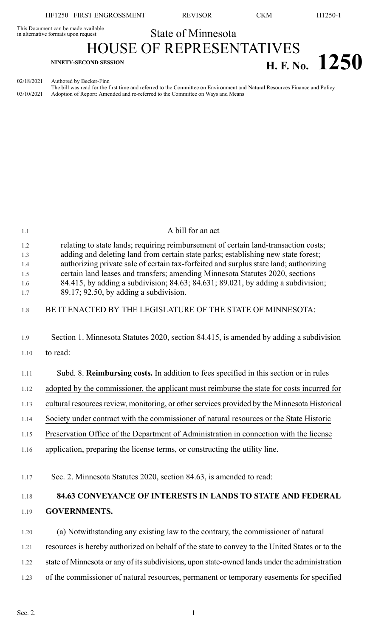HF1250 FIRST ENGROSSMENT REVISOR CKM H1250-1

This Document can be made available<br>in alternative formats upon request **State of Minnesota** HOUSE OF REPRESENTATIVES **H. F. No. 1250** 

02/18/2021 Authored by Becker-Finn The bill was read for the first time and referred to the Committee on Environment and Natural Resources Finance and Policy 03/10/2021 Adoption of Report: Amended and re-referred to the Committee on Ways and Means

| 1.1                      | A bill for an act                                                                                                                                                                                                                                                                                                                                  |
|--------------------------|----------------------------------------------------------------------------------------------------------------------------------------------------------------------------------------------------------------------------------------------------------------------------------------------------------------------------------------------------|
| 1.2<br>1.3<br>1.4<br>1.5 | relating to state lands; requiring reimbursement of certain land-transaction costs;<br>adding and deleting land from certain state parks; establishing new state forest;<br>authorizing private sale of certain tax-forfeited and surplus state land; authorizing<br>certain land leases and transfers; amending Minnesota Statutes 2020, sections |
| 1.6<br>1.7               | 84.415, by adding a subdivision; 84.63; 84.631; 89.021, by adding a subdivision;<br>$89.17; 92.50$ , by adding a subdivision.                                                                                                                                                                                                                      |
| 1.8                      | BE IT ENACTED BY THE LEGISLATURE OF THE STATE OF MINNESOTA:                                                                                                                                                                                                                                                                                        |
| 1.9                      | Section 1. Minnesota Statutes 2020, section 84.415, is amended by adding a subdivision                                                                                                                                                                                                                                                             |
| 1.10                     | to read:                                                                                                                                                                                                                                                                                                                                           |
| 1.11                     | Subd. 8. Reimbursing costs. In addition to fees specified in this section or in rules                                                                                                                                                                                                                                                              |
| 1.12                     | adopted by the commissioner, the applicant must reimburse the state for costs incurred for                                                                                                                                                                                                                                                         |
| 1.13                     | cultural resources review, monitoring, or other services provided by the Minnesota Historical                                                                                                                                                                                                                                                      |
| 1.14                     | Society under contract with the commissioner of natural resources or the State Historic                                                                                                                                                                                                                                                            |
| 1.15                     | Preservation Office of the Department of Administration in connection with the license                                                                                                                                                                                                                                                             |
| 1.16                     | application, preparing the license terms, or constructing the utility line.                                                                                                                                                                                                                                                                        |
| 1.17                     | Sec. 2. Minnesota Statutes 2020, section 84.63, is amended to read:                                                                                                                                                                                                                                                                                |
| 1.18                     | <b>84.63 CONVEYANCE OF INTERESTS IN LANDS TO STATE AND FEDERAL</b>                                                                                                                                                                                                                                                                                 |
| 1.19                     | <b>GOVERNMENTS.</b>                                                                                                                                                                                                                                                                                                                                |
| 1.20                     | (a) Notwithstanding any existing law to the contrary, the commissioner of natural                                                                                                                                                                                                                                                                  |
| 1.21                     | resources is hereby authorized on behalf of the state to convey to the United States or to the                                                                                                                                                                                                                                                     |
| 1.22                     | state of Minnesota or any of its subdivisions, upon state-owned lands under the administration                                                                                                                                                                                                                                                     |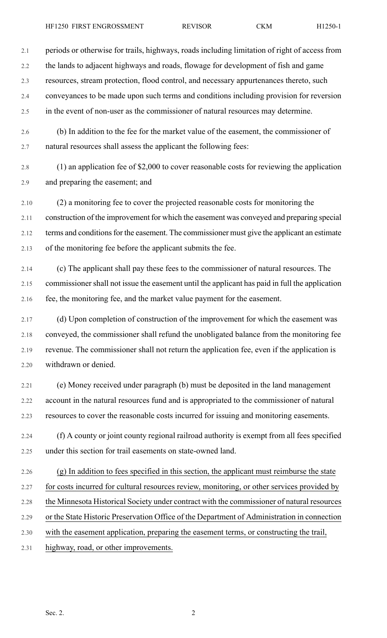2.1 periods or otherwise for trails, highways, roads including limitation of right of access from 2.2 the lands to adjacent highways and roads, flowage for development of fish and game

2.3 resources, stream protection, flood control, and necessary appurtenances thereto, such

2.4 conveyances to be made upon such terms and conditions including provision for reversion

2.5 in the event of non-user as the commissioner of natural resources may determine.

2.6 (b) In addition to the fee for the market value of the easement, the commissioner of 2.7 natural resources shall assess the applicant the following fees:

2.8 (1) an application fee of \$2,000 to cover reasonable costs for reviewing the application 2.9 and preparing the easement; and

2.10 (2) a monitoring fee to cover the projected reasonable costs for monitoring the 2.11 construction of the improvement for which the easement was conveyed and preparing special 2.12 terms and conditions for the easement. The commissioner must give the applicant an estimate 2.13 of the monitoring fee before the applicant submits the fee.

2.14 (c) The applicant shall pay these fees to the commissioner of natural resources. The 2.15 commissioner shall not issue the easement until the applicant has paid in full the application 2.16 fee, the monitoring fee, and the market value payment for the easement.

2.17 (d) Upon completion of construction of the improvement for which the easement was 2.18 conveyed, the commissioner shall refund the unobligated balance from the monitoring fee 2.19 revenue. The commissioner shall not return the application fee, even if the application is 2.20 withdrawn or denied.

2.21 (e) Money received under paragraph (b) must be deposited in the land management 2.22 account in the natural resources fund and is appropriated to the commissioner of natural 2.23 resources to cover the reasonable costs incurred for issuing and monitoring easements.

2.24 (f) A county or joint county regional railroad authority is exempt from all fees specified 2.25 under this section for trail easements on state-owned land.

2.26 (g) In addition to fees specified in this section, the applicant must reimburse the state

- 2.27 for costs incurred for cultural resources review, monitoring, or other services provided by
- 2.28 the Minnesota Historical Society under contract with the commissioner of natural resources
- 2.29 or the State Historic Preservation Office of the Department of Administration in connection
- 2.30 with the easement application, preparing the easement terms, or constructing the trail,
- 2.31 highway, road, or other improvements.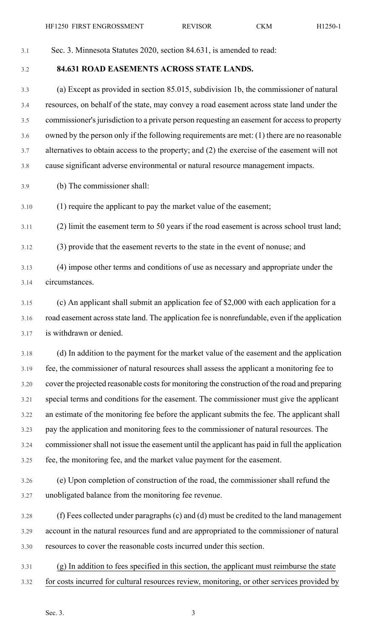3.1 Sec. 3. Minnesota Statutes 2020, section 84.631, is amended to read:

3.2 **84.631 ROAD EASEMENTS ACROSS STATE LANDS.**

3.3 (a) Except as provided in section 85.015, subdivision 1b, the commissioner of natural 3.4 resources, on behalf of the state, may convey a road easement across state land under the 3.5 commissioner'sjurisdiction to a private person requesting an easement for accessto property 3.6 owned by the person only if the following requirements are met: (1) there are no reasonable 3.7 alternatives to obtain access to the property; and (2) the exercise of the easement will not 3.8 cause significant adverse environmental or natural resource management impacts.

3.9 (b) The commissioner shall:

3.10 (1) require the applicant to pay the market value of the easement;

3.11 (2) limit the easement term to 50 years if the road easement is across school trust land;

3.12 (3) provide that the easement reverts to the state in the event of nonuse; and

3.13 (4) impose other terms and conditions of use as necessary and appropriate under the 3.14 circumstances.

3.15 (c) An applicant shall submit an application fee of \$2,000 with each application for a 3.16 road easement acrossstate land. The application fee is nonrefundable, even if the application 3.17 is withdrawn or denied.

3.18 (d) In addition to the payment for the market value of the easement and the application 3.19 fee, the commissioner of natural resources shall assess the applicant a monitoring fee to 3.20 cover the projected reasonable costs for monitoring the construction of the road and preparing 3.21 special terms and conditions for the easement. The commissioner must give the applicant 3.22 an estimate of the monitoring fee before the applicant submits the fee. The applicant shall 3.23 pay the application and monitoring fees to the commissioner of natural resources. The 3.24 commissionershall not issue the easement until the applicant has paid in full the application 3.25 fee, the monitoring fee, and the market value payment for the easement.

3.26 (e) Upon completion of construction of the road, the commissioner shall refund the 3.27 unobligated balance from the monitoring fee revenue.

3.28 (f) Fees collected under paragraphs (c) and (d) must be credited to the land management 3.29 account in the natural resources fund and are appropriated to the commissioner of natural 3.30 resources to cover the reasonable costs incurred under this section.

3.31 (g) In addition to fees specified in this section, the applicant must reimburse the state 3.32 for costs incurred for cultural resources review, monitoring, or other services provided by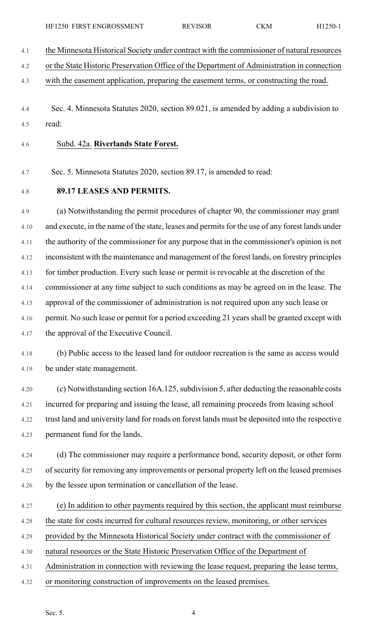4.1 the Minnesota Historical Society under contract with the commissioner of natural resources

4.2 or the State Historic Preservation Office of the Department of Administration in connection

4.3 with the easement application, preparing the easement terms, or constructing the road.

4.4 Sec. 4. Minnesota Statutes 2020, section 89.021, is amended by adding a subdivision to 4.5 read:

4.6 Subd. 42a. **Riverlands State Forest.**

4.7 Sec. 5. Minnesota Statutes 2020, section 89.17, is amended to read:

4.8 **89.17 LEASES AND PERMITS.**

4.9 (a) Notwithstanding the permit procedures of chapter 90, the commissioner may grant 4.10 and execute, in the name of the state, leases and permits for the use of any forest lands under 4.11 the authority of the commissioner for any purpose that in the commissioner's opinion is not 4.12 inconsistent with the maintenance and management of the forest lands, on forestry principles 4.13 for timber production. Every such lease or permit is revocable at the discretion of the 4.14 commissioner at any time subject to such conditions as may be agreed on in the lease. The 4.15 approval of the commissioner of administration is not required upon any such lease or 4.16 permit. No such lease or permit for a period exceeding 21 years shall be granted except with 4.17 the approval of the Executive Council.

4.18 (b) Public access to the leased land for outdoor recreation is the same as access would 4.19 be under state management.

4.20 (c) Notwithstanding section 16A.125,subdivision 5, after deducting the reasonable costs 4.21 incurred for preparing and issuing the lease, all remaining proceeds from leasing school 4.22 trust land and university land for roads on forest lands must be deposited into the respective 4.23 permanent fund for the lands.

4.24 (d) The commissioner may require a performance bond, security deposit, or other form 4.25 of security for removing any improvements or personal property left on the leased premises 4.26 by the lessee upon termination or cancellation of the lease.

4.27 (e) In addition to other payments required by this section, the applicant must reimburse

4.28 the state for costs incurred for cultural resources review, monitoring, or other services

4.29 provided by the Minnesota Historical Society under contract with the commissioner of

4.30 natural resources or the State Historic Preservation Office of the Department of

4.31 Administration in connection with reviewing the lease request, preparing the lease terms,

4.32 or monitoring construction of improvements on the leased premises.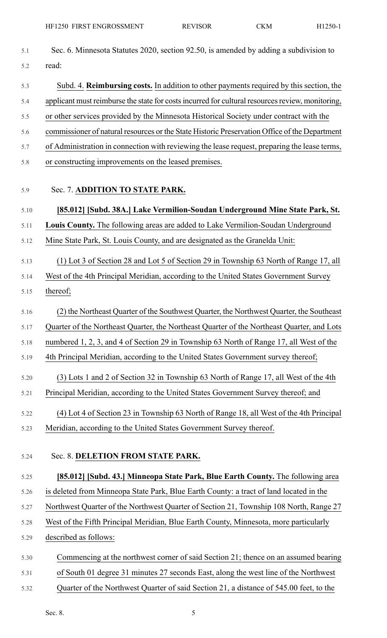| 5.1  | Sec. 6. Minnesota Statutes 2020, section 92.50, is amended by adding a subdivision to            |
|------|--------------------------------------------------------------------------------------------------|
| 5.2  | read:                                                                                            |
| 5.3  | Subd. 4. Reimbursing costs. In addition to other payments required by this section, the          |
| 5.4  | applicant must reimburse the state for costs incurred for cultural resources review, monitoring, |
| 5.5  | or other services provided by the Minnesota Historical Society under contract with the           |
| 5.6  | commissioner of natural resources or the State Historic Preservation Office of the Department    |
| 5.7  | of Administration in connection with reviewing the lease request, preparing the lease terms,     |
| 5.8  | or constructing improvements on the leased premises.                                             |
| 5.9  | Sec. 7. ADDITION TO STATE PARK.                                                                  |
| 5.10 | [85.012] [Subd. 38A.] Lake Vermilion-Soudan Underground Mine State Park, St.                     |
| 5.11 | Louis County. The following areas are added to Lake Vermilion-Soudan Underground                 |
| 5.12 | Mine State Park, St. Louis County, and are designated as the Granelda Unit:                      |
| 5.13 | (1) Lot 3 of Section 28 and Lot 5 of Section 29 in Township 63 North of Range 17, all            |
| 5.14 | West of the 4th Principal Meridian, according to the United States Government Survey             |
| 5.15 | thereof;                                                                                         |
| 5.16 | (2) the Northeast Quarter of the Southwest Quarter, the Northwest Quarter, the Southeast         |
| 5.17 | Quarter of the Northeast Quarter, the Northeast Quarter of the Northeast Quarter, and Lots       |
| 5.18 | numbered 1, 2, 3, and 4 of Section 29 in Township 63 North of Range 17, all West of the          |
| 5.19 | 4th Principal Meridian, according to the United States Government survey thereof;                |
| 5.20 | (3) Lots 1 and 2 of Section 32 in Township 63 North of Range 17, all West of the 4th             |
| 5.21 | Principal Meridian, according to the United States Government Survey thereof; and                |
| 5.22 | (4) Lot 4 of Section 23 in Township 63 North of Range 18, all West of the 4th Principal          |
| 5.23 | Meridian, according to the United States Government Survey thereof.                              |
| 5.24 | Sec. 8. DELETION FROM STATE PARK.                                                                |
| 5.25 | [85.012] [Subd. 43.] Minneopa State Park, Blue Earth County. The following area                  |
| 5.26 | is deleted from Minneopa State Park, Blue Earth County: a tract of land located in the           |
| 5.27 | Northwest Quarter of the Northwest Quarter of Section 21, Township 108 North, Range 27           |
| 5.28 | West of the Fifth Principal Meridian, Blue Earth County, Minnesota, more particularly            |
| 5.29 | described as follows:                                                                            |
| 5.30 | Commencing at the northwest corner of said Section 21; thence on an assumed bearing              |
| 5.31 | of South 01 degree 31 minutes 27 seconds East, along the west line of the Northwest              |
| 5.32 | Quarter of the Northwest Quarter of said Section 21, a distance of 545.00 feet, to the           |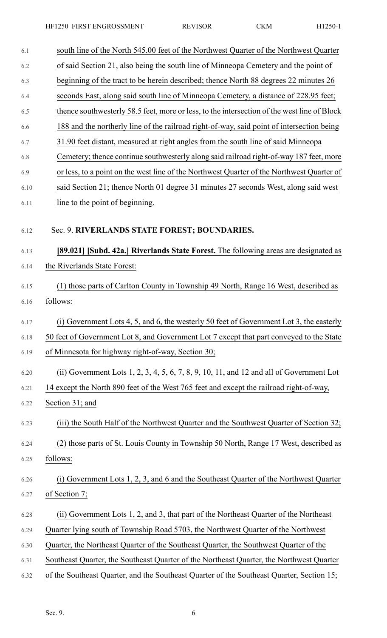HF1250 FIRST ENGROSSMENT REVISOR CKM H1250-1

| 6.1  | south line of the North 545.00 feet of the Northwest Quarter of the Northwest Quarter       |
|------|---------------------------------------------------------------------------------------------|
| 6.2  | of said Section 21, also being the south line of Minneopa Cemetery and the point of         |
| 6.3  | beginning of the tract to be herein described; thence North 88 degrees 22 minutes 26        |
| 6.4  | seconds East, along said south line of Minneopa Cemetery, a distance of 228.95 feet;        |
| 6.5  | thence southwesterly 58.5 feet, more or less, to the intersection of the west line of Block |
| 6.6  | 188 and the northerly line of the railroad right-of-way, said point of intersection being   |
| 6.7  | 31.90 feet distant, measured at right angles from the south line of said Minneopa           |
| 6.8  | Cemetery; thence continue southwesterly along said railroad right-of-way 187 feet, more     |
| 6.9  | or less, to a point on the west line of the Northwest Quarter of the Northwest Quarter of   |
| 6.10 | said Section 21; thence North 01 degree 31 minutes 27 seconds West, along said west         |
| 6.11 | line to the point of beginning.                                                             |
| 6.12 | Sec. 9. RIVERLANDS STATE FOREST; BOUNDARIES.                                                |
| 6.13 | [89.021] [Subd. 42a.] Riverlands State Forest. The following areas are designated as        |
| 6.14 | the Riverlands State Forest:                                                                |
| 6.15 | (1) those parts of Carlton County in Township 49 North, Range 16 West, described as         |
| 6.16 | follows:                                                                                    |
| 6.17 | (i) Government Lots 4, 5, and 6, the westerly 50 feet of Government Lot 3, the easterly     |
| 6.18 | 50 feet of Government Lot 8, and Government Lot 7 except that part conveyed to the State    |
| 6.19 | of Minnesota for highway right-of-way, Section 30;                                          |
| 6.20 | (ii) Government Lots $1, 2, 3, 4, 5, 6, 7, 8, 9, 10, 11$ , and 12 and all of Government Lot |
| 6.21 | 14 except the North 890 feet of the West 765 feet and except the railroad right-of-way,     |
| 6.22 | Section 31; and                                                                             |
| 6.23 | (iii) the South Half of the Northwest Quarter and the Southwest Quarter of Section 32;      |
| 6.24 | (2) those parts of St. Louis County in Township 50 North, Range 17 West, described as       |
| 6.25 | follows:                                                                                    |
| 6.26 | (i) Government Lots 1, 2, 3, and 6 and the Southeast Quarter of the Northwest Quarter       |
| 6.27 | of Section 7;                                                                               |
| 6.28 | (ii) Government Lots 1, 2, and 3, that part of the Northeast Quarter of the Northeast       |
| 6.29 | Quarter lying south of Township Road 5703, the Northwest Quarter of the Northwest           |
| 6.30 | Quarter, the Northeast Quarter of the Southeast Quarter, the Southwest Quarter of the       |
| 6.31 | Southeast Quarter, the Southeast Quarter of the Northeast Quarter, the Northwest Quarter    |
| 6.32 | of the Southeast Quarter, and the Southeast Quarter of the Southeast Quarter, Section 15;   |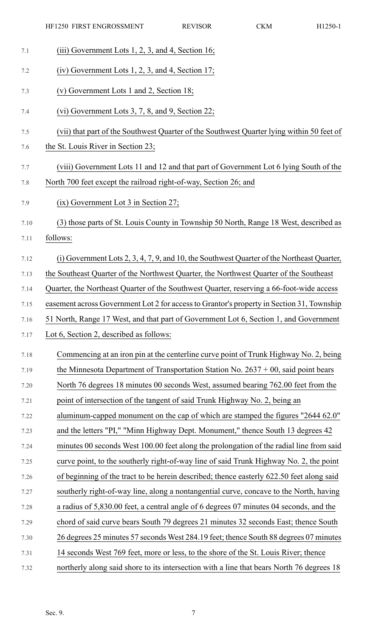| 7.1  | (iii) Government Lots $1, 2, 3$ , and 4, Section 16;                                         |
|------|----------------------------------------------------------------------------------------------|
| 7.2  | $(iv)$ Government Lots 1, 2, 3, and 4, Section 17;                                           |
| 7.3  | (v) Government Lots 1 and 2, Section 18;                                                     |
| 7.4  | (vi) Government Lots 3, 7, 8, and 9, Section 22;                                             |
| 7.5  | (vii) that part of the Southwest Quarter of the Southwest Quarter lying within 50 feet of    |
| 7.6  | the St. Louis River in Section 23;                                                           |
| 7.7  | (viii) Government Lots 11 and 12 and that part of Government Lot 6 lying South of the        |
| 7.8  | North 700 feet except the railroad right-of-way, Section 26; and                             |
| 7.9  | $(ix)$ Government Lot 3 in Section 27;                                                       |
| 7.10 | (3) those parts of St. Louis County in Township 50 North, Range 18 West, described as        |
| 7.11 | follows:                                                                                     |
| 7.12 | $(i)$ Government Lots 2, 3, 4, 7, 9, and 10, the Southwest Quarter of the Northeast Quarter, |
| 7.13 | the Southeast Quarter of the Northwest Quarter, the Northwest Quarter of the Southeast       |
| 7.14 | Quarter, the Northeast Quarter of the Southwest Quarter, reserving a 66-foot-wide access     |
| 7.15 | easement across Government Lot 2 for access to Grantor's property in Section 31, Township    |
| 7.16 | 51 North, Range 17 West, and that part of Government Lot 6, Section 1, and Government        |
| 7.17 | Lot 6, Section 2, described as follows:                                                      |
| 7.18 | Commencing at an iron pin at the centerline curve point of Trunk Highway No. 2, being        |
| 7.19 | the Minnesota Department of Transportation Station No. $2637 + 00$ , said point bears        |
| 7.20 | North 76 degrees 18 minutes 00 seconds West, assumed bearing 762.00 feet from the            |
| 7.21 | point of intersection of the tangent of said Trunk Highway No. 2, being an                   |
| 7.22 | aluminum-capped monument on the cap of which are stamped the figures "2644 62.0"             |
| 7.23 | and the letters "PI," "Minn Highway Dept. Monument," thence South 13 degrees 42              |
| 7.24 | minutes 00 seconds West 100.00 feet along the prolongation of the radial line from said      |
| 7.25 | curve point, to the southerly right-of-way line of said Trunk Highway No. 2, the point       |
| 7.26 | of beginning of the tract to be herein described; thence easterly 622.50 feet along said     |
| 7.27 | southerly right-of-way line, along a nontangential curve, concave to the North, having       |
| 7.28 | a radius of 5,830.00 feet, a central angle of 6 degrees 07 minutes 04 seconds, and the       |
| 7.29 | chord of said curve bears South 79 degrees 21 minutes 32 seconds East; thence South          |
| 7.30 | 26 degrees 25 minutes 57 seconds West 284.19 feet; thence South 88 degrees 07 minutes        |
| 7.31 | 14 seconds West 769 feet, more or less, to the shore of the St. Louis River; thence          |
| 7.32 | northerly along said shore to its intersection with a line that bears North 76 degrees 18    |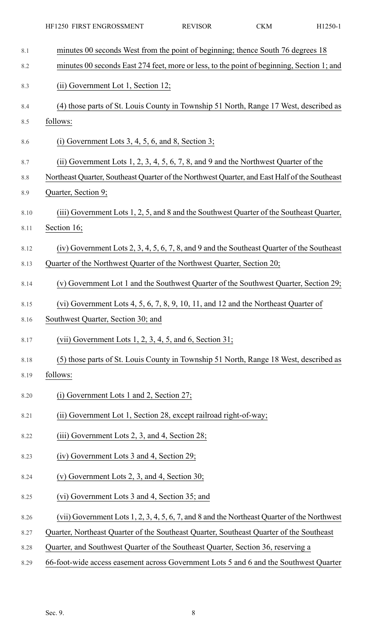| 8.1  | minutes 00 seconds West from the point of beginning; thence South 76 degrees 18               |
|------|-----------------------------------------------------------------------------------------------|
| 8.2  | minutes 00 seconds East 274 feet, more or less, to the point of beginning, Section 1; and     |
| 8.3  | (ii) Government Lot 1, Section 12;                                                            |
| 8.4  | (4) those parts of St. Louis County in Township 51 North, Range 17 West, described as         |
| 8.5  | follows:                                                                                      |
| 8.6  | (i) Government Lots $3, 4, 5, 6$ , and $8$ , Section 3;                                       |
| 8.7  | (ii) Government Lots $1, 2, 3, 4, 5, 6, 7, 8$ , and $9$ and the Northwest Quarter of the      |
| 8.8  | Northeast Quarter, Southeast Quarter of the Northwest Quarter, and East Half of the Southeast |
| 8.9  | Quarter, Section 9;                                                                           |
| 8.10 | (iii) Government Lots 1, 2, 5, and 8 and the Southwest Quarter of the Southeast Quarter,      |
| 8.11 | Section 16;                                                                                   |
| 8.12 | (iv) Government Lots 2, 3, 4, 5, 6, 7, 8, and 9 and the Southeast Quarter of the Southeast    |
| 8.13 | Quarter of the Northwest Quarter of the Northwest Quarter, Section 20;                        |
| 8.14 | (v) Government Lot 1 and the Southwest Quarter of the Southwest Quarter, Section 29;          |
| 8.15 | (vi) Government Lots 4, 5, 6, 7, 8, 9, 10, 11, and 12 and the Northeast Quarter of            |
| 8.16 | Southwest Quarter, Section 30; and                                                            |
| 8.17 | (vii) Government Lots $1, 2, 3, 4, 5$ , and 6, Section 31;                                    |
| 8.18 | (5) those parts of St. Louis County in Township 51 North, Range 18 West, described as         |
| 8.19 | follows:                                                                                      |
| 8.20 | $(i)$ Government Lots 1 and 2, Section 27;                                                    |
| 8.21 | (ii) Government Lot 1, Section 28, except railroad right-of-way;                              |
| 8.22 | (iii) Government Lots 2, 3, and 4, Section 28;                                                |
| 8.23 | (iv) Government Lots 3 and 4, Section 29;                                                     |
| 8.24 | (v) Government Lots 2, 3, and 4, Section 30;                                                  |
| 8.25 | (vi) Government Lots 3 and 4, Section 35; and                                                 |
| 8.26 | (vii) Government Lots 1, 2, 3, 4, 5, 6, 7, and 8 and the Northeast Quarter of the Northwest   |
| 8.27 | Quarter, Northeast Quarter of the Southeast Quarter, Southeast Quarter of the Southeast       |
| 8.28 | Quarter, and Southwest Quarter of the Southeast Quarter, Section 36, reserving a              |
|      |                                                                                               |

8.29 66-foot-wide access easement across Government Lots 5 and 6 and the Southwest Quarter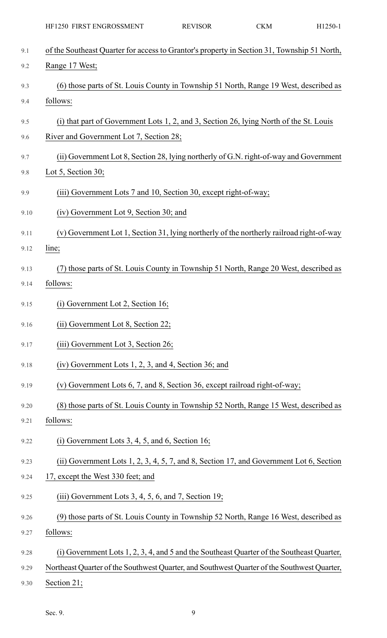|      | HF1250 FIRST ENGROSSMENT                                                                    | <b>REVISOR</b> | CKM | H1250-1 |
|------|---------------------------------------------------------------------------------------------|----------------|-----|---------|
| 9.1  | of the Southeast Quarter for access to Grantor's property in Section 31, Township 51 North, |                |     |         |
| 9.2  | Range 17 West;                                                                              |                |     |         |
| 9.3  | (6) those parts of St. Louis County in Township 51 North, Range 19 West, described as       |                |     |         |
| 9.4  | follows:                                                                                    |                |     |         |
| 9.5  | (i) that part of Government Lots 1, 2, and 3, Section 26, lying North of the St. Louis      |                |     |         |
| 9.6  | River and Government Lot 7, Section 28;                                                     |                |     |         |
| 9.7  | (ii) Government Lot 8, Section 28, lying northerly of G.N. right-of-way and Government      |                |     |         |
| 9.8  | Lot 5, Section 30;                                                                          |                |     |         |
| 9.9  | (iii) Government Lots 7 and 10, Section 30, except right-of-way;                            |                |     |         |
| 9.10 | (iv) Government Lot 9, Section 30; and                                                      |                |     |         |
| 9.11 | (v) Government Lot 1, Section 31, lying northerly of the northerly railroad right-of-way    |                |     |         |
| 9.12 | line;                                                                                       |                |     |         |
| 9.13 | (7) those parts of St. Louis County in Township 51 North, Range 20 West, described as       |                |     |         |
| 9.14 | follows:                                                                                    |                |     |         |
| 9.15 | $(i)$ Government Lot 2, Section 16;                                                         |                |     |         |
| 9.16 | (ii) Government Lot 8, Section 22;                                                          |                |     |         |
| 9.17 | (iii) Government Lot 3, Section 26;                                                         |                |     |         |
| 9.18 | $(iv)$ Government Lots 1, 2, 3, and 4, Section 36; and                                      |                |     |         |
| 9.19 | (v) Government Lots 6, 7, and 8, Section 36, except railroad right-of-way;                  |                |     |         |
| 9.20 | (8) those parts of St. Louis County in Township 52 North, Range 15 West, described as       |                |     |         |
| 9.21 | follows:                                                                                    |                |     |         |
| 9.22 | (i) Government Lots $3, 4, 5$ , and $6$ , Section 16;                                       |                |     |         |
| 9.23 | (ii) Government Lots $1, 2, 3, 4, 5, 7$ , and 8, Section 17, and Government Lot 6, Section  |                |     |         |
| 9.24 | 17, except the West 330 feet; and                                                           |                |     |         |
| 9.25 | $(iii)$ Government Lots 3, 4, 5, 6, and 7, Section 19;                                      |                |     |         |
| 9.26 | (9) those parts of St. Louis County in Township 52 North, Range 16 West, described as       |                |     |         |
| 9.27 | follows:                                                                                    |                |     |         |
| 9.28 | (i) Government Lots 1, 2, 3, 4, and 5 and the Southeast Quarter of the Southeast Quarter,   |                |     |         |
| 9.29 | Northeast Quarter of the Southwest Quarter, and Southwest Quarter of the Southwest Quarter, |                |     |         |
| 9.30 | Section 21;                                                                                 |                |     |         |

Sec. 9. 9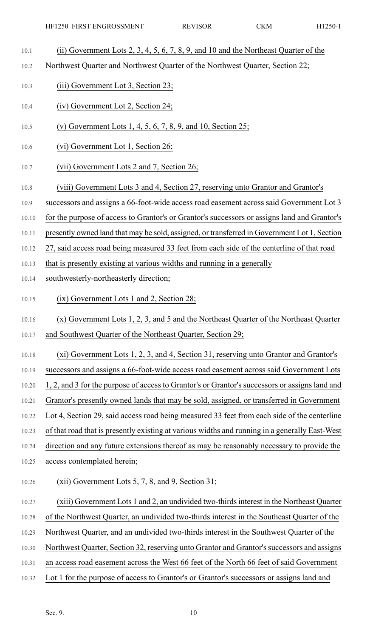- 10.1 (ii) Government Lots 2, 3, 4, 5, 6, 7, 8, 9, and 10 and the Northeast Quarter of the
- 10.2 Northwest Quarter and Northwest Quarter of the Northwest Quarter, Section 22;
- 10.3 (iii) Government Lot 3, Section 23;
- 10.4 (iv) Government Lot 2, Section 24;
- 10.5 (v) Government Lots 1, 4, 5, 6, 7, 8, 9, and 10, Section 25;
- 10.6 (vi) Government Lot 1, Section 26;
- 10.7 (vii) Government Lots 2 and 7, Section 26;
- 10.8 (viii) Government Lots 3 and 4, Section 27, reserving unto Grantor and Grantor's
- 10.9 successors and assigns a 66-foot-wide access road easement across said Government Lot 3
- 10.10 for the purpose of access to Grantor's or Grantor's successors or assigns land and Grantor's
- 10.11 presently owned land that may be sold, assigned, or transferred in Government Lot 1, Section
- 10.12 27, said access road being measured 33 feet from each side of the centerline of that road
- 10.13 that is presently existing at various widths and running in a generally
- 10.14 southwesterly-northeasterly direction;
- 10.15 (ix) Government Lots 1 and 2, Section 28;
- 10.16 (x) Government Lots 1, 2, 3, and 5 and the Northeast Quarter of the Northeast Quarter
- 10.17 and Southwest Quarter of the Northeast Quarter, Section 29;
- 10.18 (xi) Government Lots 1, 2, 3, and 4, Section 31, reserving unto Grantor and Grantor's
- 10.19 successors and assigns a 66-foot-wide access road easement across said Government Lots
- 10.20 1, 2, and 3 for the purpose of access to Grantor's or Grantor's successors or assigns land and
- 10.21 Grantor's presently owned lands that may be sold, assigned, or transferred in Government
- 10.22 Lot 4, Section 29, said access road being measured 33 feet from each side of the centerline
- 10.23 of that road that is presently existing at various widths and running in a generally East-West
- 10.24 direction and any future extensions thereof as may be reasonably necessary to provide the
- 10.25 access contemplated herein;
- 10.26 (xii) Government Lots 5, 7, 8, and 9, Section 31;
- 10.27 (xiii) Government Lots 1 and 2, an undivided two-thirdsinterest in the Northeast Quarter
- 10.28 of the Northwest Quarter, an undivided two-thirds interest in the Southeast Quarter of the
- 10.29 Northwest Quarter, and an undivided two-thirds interest in the Southwest Quarter of the
- 10.30 Northwest Quarter, Section 32, reserving unto Grantor and Grantor's successors and assigns
- 10.31 an access road easement across the West 66 feet of the North 66 feet of said Government
- 10.32 Lot 1 for the purpose of access to Grantor's or Grantor's successors or assigns land and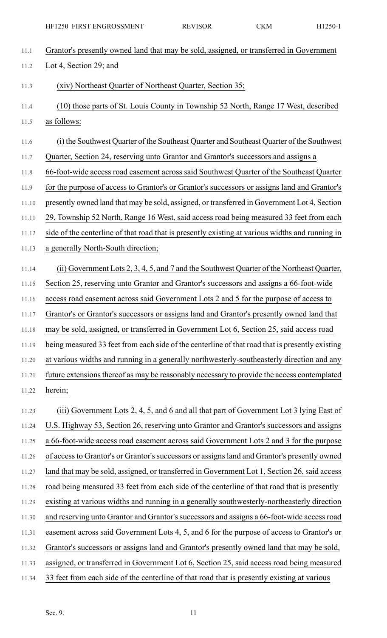11.1 Grantor's presently owned land that may be sold, assigned, or transferred in Government 11.2 Lot 4, Section 29; and 11.3 (xiv) Northeast Quarter of Northeast Quarter, Section 35; 11.4 (10) those parts of St. Louis County in Township 52 North, Range 17 West, described 11.5 as follows: 11.6 (i) the Southwest Quarter of the Southeast Quarter and Southeast Quarter of the Southwest 11.7 Quarter, Section 24, reserving unto Grantor and Grantor's successors and assigns a 11.8 66-foot-wide access road easement across said Southwest Quarter of the Southeast Quarter 11.9 for the purpose of access to Grantor's or Grantor's successors or assigns land and Grantor's 11.10 presently owned land that may be sold, assigned, or transferred in Government Lot 4, Section 11.11 29, Township 52 North, Range 16 West, said access road being measured 33 feet from each 11.12 side of the centerline of that road that is presently existing at various widths and running in 11.13 a generally North-South direction; 11.14 (ii) Government Lots 2, 3, 4, 5, and 7 and the Southwest Quarter of the Northeast Quarter, 11.15 Section 25, reserving unto Grantor and Grantor's successors and assigns a 66-foot-wide 11.16 access road easement across said Government Lots 2 and 5 for the purpose of access to 11.17 Grantor's or Grantor's successors or assigns land and Grantor's presently owned land that 11.18 may be sold, assigned, or transferred in Government Lot 6, Section 25, said access road 11.19 being measured 33 feet from each side of the centerline of that road that is presently existing 11.20 at various widths and running in a generally northwesterly-southeasterly direction and any 11.21 future extensions thereof as may be reasonably necessary to provide the access contemplated 11.22 herein; 11.23 (iii) Government Lots 2, 4, 5, and 6 and all that part of Government Lot 3 lying East of 11.24 U.S. Highway 53, Section 26, reserving unto Grantor and Grantor's successors and assigns 11.25 a 66-foot-wide access road easement across said Government Lots 2 and 3 for the purpose 11.26 of access to Grantor's or Grantor's successors or assigns land and Grantor's presently owned 11.27 land that may be sold, assigned, or transferred in Government Lot 1, Section 26, said access 11.28 road being measured 33 feet from each side of the centerline of that road that is presently 11.29 existing at various widths and running in a generally southwesterly-northeasterly direction 11.30 and reserving unto Grantor and Grantor's successors and assigns a 66-foot-wide access road 11.31 easement across said Government Lots 4, 5, and 6 for the purpose of access to Grantor's or 11.32 Grantor's successors or assigns land and Grantor's presently owned land that may be sold, 11.33 assigned, or transferred in Government Lot 6, Section 25, said access road being measured 11.34 33 feet from each side of the centerline of that road that is presently existing at various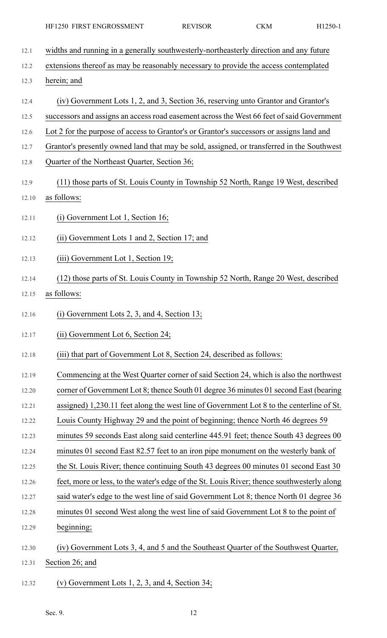- 12.1 widths and running in a generally southwesterly-northeasterly direction and any future 12.2 extensions thereof as may be reasonably necessary to provide the access contemplated 12.3 herein; and 12.4 (iv) Government Lots 1, 2, and 3, Section 36, reserving unto Grantor and Grantor's 12.5 successors and assigns an access road easement across the West 66 feet of said Government 12.6 Lot 2 for the purpose of access to Grantor's or Grantor's successors or assigns land and 12.7 Grantor's presently owned land that may be sold, assigned, or transferred in the Southwest 12.8 Quarter of the Northeast Quarter, Section 36; 12.9 (11) those parts of St. Louis County in Township 52 North, Range 19 West, described 12.10 as follows: 12.11 (i) Government Lot 1, Section 16; 12.12 (ii) Government Lots 1 and 2, Section 17; and 12.13 (iii) Government Lot 1, Section 19; 12.14 (12) those parts of St. Louis County in Township 52 North, Range 20 West, described 12.15 as follows: 12.16 (i) Government Lots 2, 3, and 4, Section 13; 12.17 (ii) Government Lot 6, Section 24; 12.18 (iii) that part of Government Lot 8, Section 24, described as follows: 12.19 Commencing at the West Quarter corner of said Section 24, which is also the northwest 12.20 corner of Government Lot 8; thence South 01 degree 36 minutes 01 second East (bearing 12.21 assigned) 1,230.11 feet along the west line of Government Lot 8 to the centerline of St. 12.22 Louis County Highway 29 and the point of beginning; thence North 46 degrees 59 12.23 minutes 59 seconds East along said centerline 445.91 feet; thence South 43 degrees 00 12.24 minutes 01 second East 82.57 feet to an iron pipe monument on the westerly bank of 12.25 the St. Louis River; thence continuing South 43 degrees 00 minutes 01 second East 30 12.26 feet, more or less, to the water's edge of the St. Louis River; thence southwesterly along 12.27 said water's edge to the west line of said Government Lot 8; thence North 01 degree 36 12.28 minutes 01 second West along the west line of said Government Lot 8 to the point of 12.29 beginning; 12.30 (iv) Government Lots 3, 4, and 5 and the Southeast Quarter of the Southwest Quarter, 12.31 Section 26; and 12.32 (v) Government Lots 1, 2, 3, and 4, Section 34;
	- Sec. 9.  $12$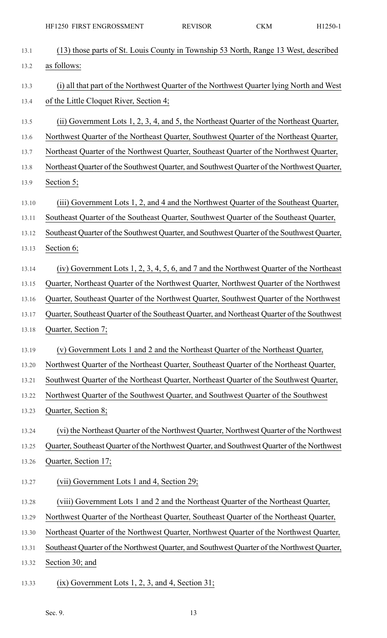|       | HF1250 FIRST ENGROSSMENT                                                                    | <b>REVISOR</b> | <b>CKM</b> | H1250-1 |
|-------|---------------------------------------------------------------------------------------------|----------------|------------|---------|
| 13.1  | (13) those parts of St. Louis County in Township 53 North, Range 13 West, described         |                |            |         |
| 13.2  | as follows:                                                                                 |                |            |         |
| 13.3  | (i) all that part of the Northwest Quarter of the Northwest Quarter lying North and West    |                |            |         |
| 13.4  | of the Little Cloquet River, Section 4;                                                     |                |            |         |
| 13.5  | (ii) Government Lots 1, 2, 3, 4, and 5, the Northeast Quarter of the Northeast Quarter,     |                |            |         |
| 13.6  | Northwest Quarter of the Northeast Quarter, Southwest Quarter of the Northeast Quarter,     |                |            |         |
| 13.7  | Northeast Quarter of the Northwest Quarter, Southeast Quarter of the Northwest Quarter,     |                |            |         |
| 13.8  | Northeast Quarter of the Southwest Quarter, and Southwest Quarter of the Northwest Quarter, |                |            |         |
| 13.9  | Section 5;                                                                                  |                |            |         |
| 13.10 | (iii) Government Lots 1, 2, and 4 and the Northwest Quarter of the Southeast Quarter,       |                |            |         |
| 13.11 | Southeast Quarter of the Southeast Quarter, Southwest Quarter of the Southeast Quarter,     |                |            |         |
| 13.12 | Southeast Quarter of the Southwest Quarter, and Southwest Quarter of the Southwest Quarter, |                |            |         |
| 13.13 | Section 6;                                                                                  |                |            |         |
| 13.14 | (iv) Government Lots 1, 2, 3, 4, 5, 6, and 7 and the Northwest Quarter of the Northeast     |                |            |         |
| 13.15 | Quarter, Northeast Quarter of the Northwest Quarter, Northwest Quarter of the Northwest     |                |            |         |
| 13.16 | Quarter, Southeast Quarter of the Northwest Quarter, Southwest Quarter of the Northwest     |                |            |         |
| 13.17 | Quarter, Southeast Quarter of the Southeast Quarter, and Northeast Quarter of the Southwest |                |            |         |
| 13.18 | Quarter, Section 7;                                                                         |                |            |         |
| 13.19 | (v) Government Lots 1 and 2 and the Northeast Quarter of the Northeast Quarter,             |                |            |         |
| 13.20 | Northwest Quarter of the Northeast Quarter, Southeast Quarter of the Northeast Quarter,     |                |            |         |
| 13.21 | Southwest Quarter of the Northeast Quarter, Northeast Quarter of the Southwest Quarter,     |                |            |         |
| 13.22 | Northwest Quarter of the Southwest Quarter, and Southwest Quarter of the Southwest          |                |            |         |
| 13.23 | Quarter, Section 8;                                                                         |                |            |         |
| 13.24 | (vi) the Northeast Quarter of the Northwest Quarter, Northwest Quarter of the Northwest     |                |            |         |
| 13.25 | Quarter, Southeast Quarter of the Northwest Quarter, and Southwest Quarter of the Northwest |                |            |         |
| 13.26 | Quarter, Section 17;                                                                        |                |            |         |
| 13.27 | (vii) Government Lots 1 and 4, Section 29;                                                  |                |            |         |
| 13.28 | (viii) Government Lots 1 and 2 and the Northeast Quarter of the Northeast Quarter,          |                |            |         |
| 13.29 | Northwest Quarter of the Northeast Quarter, Southeast Quarter of the Northeast Quarter,     |                |            |         |
| 13.30 | Northeast Quarter of the Northwest Quarter, Northwest Quarter of the Northwest Quarter,     |                |            |         |
| 13.31 | Southeast Quarter of the Northwest Quarter, and Southwest Quarter of the Northwest Quarter, |                |            |         |
| 13.32 | Section 30; and                                                                             |                |            |         |
| 13.33 | $(ix)$ Government Lots 1, 2, 3, and 4, Section 31;                                          |                |            |         |

Sec. 9. 13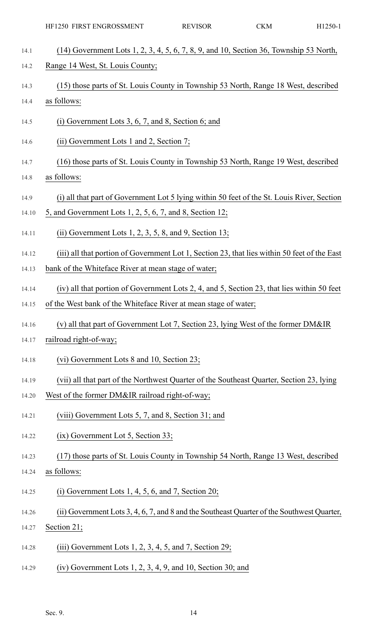| 14.1  | $(14)$ Government Lots 1, 2, 3, 4, 5, 6, 7, 8, 9, and 10, Section 36, Township 53 North,     |
|-------|----------------------------------------------------------------------------------------------|
| 14.2  | Range 14 West, St. Louis County;                                                             |
| 14.3  | (15) those parts of St. Louis County in Township 53 North, Range 18 West, described          |
| 14.4  | as follows:                                                                                  |
| 14.5  | $(i)$ Government Lots 3, 6, 7, and 8, Section 6; and                                         |
| 14.6  | $(ii)$ Government Lots 1 and 2, Section 7;                                                   |
| 14.7  | (16) those parts of St. Louis County in Township 53 North, Range 19 West, described          |
| 14.8  | as follows:                                                                                  |
| 14.9  | (i) all that part of Government Lot 5 lying within 50 feet of the St. Louis River, Section   |
| 14.10 | 5, and Government Lots 1, 2, 5, 6, 7, and 8, Section 12;                                     |
| 14.11 | (ii) Government Lots $1, 2, 3, 5, 8$ , and $9$ , Section 13;                                 |
| 14.12 | (iii) all that portion of Government Lot 1, Section 23, that lies within 50 feet of the East |
| 14.13 | bank of the Whiteface River at mean stage of water;                                          |
| 14.14 | (iv) all that portion of Government Lots 2, 4, and 5, Section 23, that lies within 50 feet   |
| 14.15 | of the West bank of the Whiteface River at mean stage of water;                              |
| 14.16 | (v) all that part of Government Lot 7, Section 23, lying West of the former DM&IR            |
| 14.17 | railroad right-of-way;                                                                       |
| 14.18 | (vi) Government Lots 8 and 10, Section 23;                                                   |
| 14.19 | (vii) all that part of the Northwest Quarter of the Southeast Quarter, Section 23, lying     |
| 14.20 | West of the former DM&IR railroad right-of-way;                                              |
| 14.21 | (viii) Government Lots 5, 7, and 8, Section 31; and                                          |
| 14.22 | $(ix)$ Government Lot 5, Section 33;                                                         |
| 14.23 | (17) those parts of St. Louis County in Township 54 North, Range 13 West, described          |
| 14.24 | as follows:                                                                                  |
| 14.25 | (i) Government Lots 1, 4, 5, 6, and 7, Section 20;                                           |
| 14.26 | (ii) Government Lots 3, 4, 6, 7, and 8 and the Southeast Quarter of the Southwest Quarter,   |
| 14.27 | Section 21;                                                                                  |
| 14.28 | (iii) Government Lots 1, 2, 3, 4, 5, and 7, Section 29;                                      |
| 14.29 | $(iv)$ Government Lots 1, 2, 3, 4, 9, and 10, Section 30; and                                |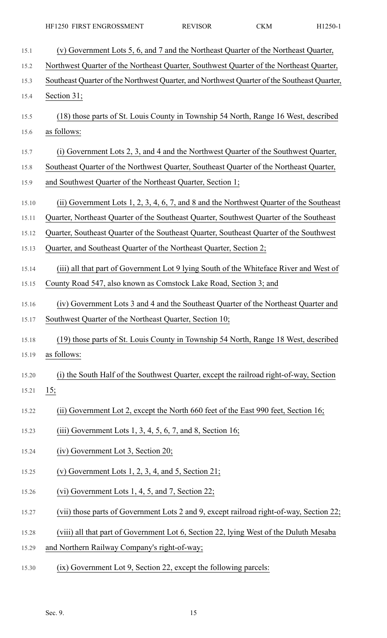| 15.1  | (v) Government Lots 5, 6, and 7 and the Northeast Quarter of the Northeast Quarter,         |
|-------|---------------------------------------------------------------------------------------------|
| 15.2  | Northwest Quarter of the Northeast Quarter, Southwest Quarter of the Northeast Quarter,     |
| 15.3  | Southeast Quarter of the Northwest Quarter, and Northwest Quarter of the Southeast Quarter, |
| 15.4  | Section 31;                                                                                 |
| 15.5  | (18) those parts of St. Louis County in Township 54 North, Range 16 West, described         |
| 15.6  | as follows:                                                                                 |
| 15.7  | (i) Government Lots 2, 3, and 4 and the Northwest Quarter of the Southwest Quarter,         |
| 15.8  | Southeast Quarter of the Northwest Quarter, Southeast Quarter of the Northeast Quarter,     |
| 15.9  | and Southwest Quarter of the Northeast Quarter, Section 1;                                  |
| 15.10 | (ii) Government Lots 1, 2, 3, 4, 6, 7, and 8 and the Northwest Quarter of the Southeast     |
| 15.11 | Quarter, Northeast Quarter of the Southeast Quarter, Southwest Quarter of the Southeast     |
| 15.12 | Quarter, Southeast Quarter of the Southeast Quarter, Southeast Quarter of the Southwest     |
| 15.13 | Quarter, and Southeast Quarter of the Northeast Quarter, Section 2;                         |
| 15.14 | (iii) all that part of Government Lot 9 lying South of the Whiteface River and West of      |
| 15.15 | County Road 547, also known as Comstock Lake Road, Section 3; and                           |
| 15.16 | (iv) Government Lots 3 and 4 and the Southeast Quarter of the Northeast Quarter and         |
| 15.17 | Southwest Quarter of the Northeast Quarter, Section 10;                                     |
| 15.18 | (19) those parts of St. Louis County in Township 54 North, Range 18 West, described         |
| 15.19 | as follows:                                                                                 |
| 15.20 | (i) the South Half of the Southwest Quarter, except the railroad right-of-way, Section      |
| 15.21 | <u>15;</u>                                                                                  |
| 15.22 | (ii) Government Lot 2, except the North 660 feet of the East 990 feet, Section 16;          |
| 15.23 | (iii) Government Lots 1, 3, 4, 5, 6, 7, and 8, Section 16;                                  |
| 15.24 | (iv) Government Lot 3, Section 20;                                                          |
| 15.25 | (v) Government Lots $1, 2, 3, 4$ , and $5$ , Section 21;                                    |
| 15.26 | (vi) Government Lots $1, 4, 5$ , and 7, Section 22;                                         |
| 15.27 | (vii) those parts of Government Lots 2 and 9, except railroad right-of-way, Section 22;     |
| 15.28 | (viii) all that part of Government Lot 6, Section 22, lying West of the Duluth Mesaba       |
| 15.29 | and Northern Railway Company's right-of-way;                                                |
| 15.30 | (ix) Government Lot 9, Section 22, except the following parcels:                            |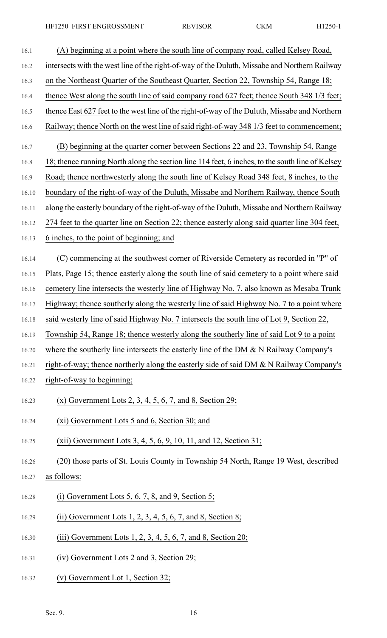| 16.1  | (A) beginning at a point where the south line of company road, called Kelsey Road,              |
|-------|-------------------------------------------------------------------------------------------------|
| 16.2  | intersects with the west line of the right-of-way of the Duluth, Missabe and Northern Railway   |
| 16.3  | on the Northeast Quarter of the Southeast Quarter, Section 22, Township 54, Range 18;           |
| 16.4  | thence West along the south line of said company road 627 feet; thence South 348 1/3 feet;      |
| 16.5  | thence East 627 feet to the west line of the right-of-way of the Duluth, Missabe and Northern   |
| 16.6  | Railway; thence North on the west line of said right-of-way 348 1/3 feet to commencement;       |
| 16.7  | (B) beginning at the quarter corner between Sections 22 and 23, Township 54, Range              |
| 16.8  | 18; thence running North along the section line 114 feet, 6 inches, to the south line of Kelsey |
| 16.9  | Road; thence northwesterly along the south line of Kelsey Road 348 feet, 8 inches, to the       |
| 16.10 | boundary of the right-of-way of the Duluth, Missabe and Northern Railway, thence South          |
| 16.11 | along the easterly boundary of the right-of-way of the Duluth, Missabe and Northern Railway     |
| 16.12 | 274 feet to the quarter line on Section 22; thence easterly along said quarter line 304 feet,   |
| 16.13 | 6 inches, to the point of beginning; and                                                        |
| 16.14 | (C) commencing at the southwest corner of Riverside Cemetery as recorded in "P" of              |
| 16.15 | Plats, Page 15; thence easterly along the south line of said cemetery to a point where said     |
| 16.16 | cemetery line intersects the westerly line of Highway No. 7, also known as Mesaba Trunk         |
| 16.17 | Highway; thence southerly along the westerly line of said Highway No. 7 to a point where        |
| 16.18 | said westerly line of said Highway No. 7 intersects the south line of Lot 9, Section 22,        |
| 16.19 | Township 54, Range 18; thence westerly along the southerly line of said Lot 9 to a point        |
| 16.20 | where the southerly line intersects the easterly line of the DM $\&$ N Railway Company's        |
| 16.21 | right-of-way; thence northerly along the easterly side of said DM & N Railway Company's         |
| 16.22 | right-of-way to beginning;                                                                      |
| 16.23 | $(x)$ Government Lots 2, 3, 4, 5, 6, 7, and 8, Section 29;                                      |
| 16.24 | (xi) Government Lots 5 and 6, Section 30; and                                                   |
| 16.25 | $(xii)$ Government Lots 3, 4, 5, 6, 9, 10, 11, and 12, Section 31;                              |
| 16.26 | (20) those parts of St. Louis County in Township 54 North, Range 19 West, described             |
| 16.27 | as follows:                                                                                     |
| 16.28 | (i) Government Lots 5, 6, 7, 8, and 9, Section $5$ ;                                            |
| 16.29 | (ii) Government Lots 1, 2, 3, 4, 5, 6, 7, and 8, Section 8;                                     |
| 16.30 | $(iii)$ Government Lots 1, 2, 3, 4, 5, 6, 7, and 8, Section 20;                                 |
| 16.31 | (iv) Government Lots 2 and 3, Section 29;                                                       |

16.32 (v) Government Lot 1, Section 32;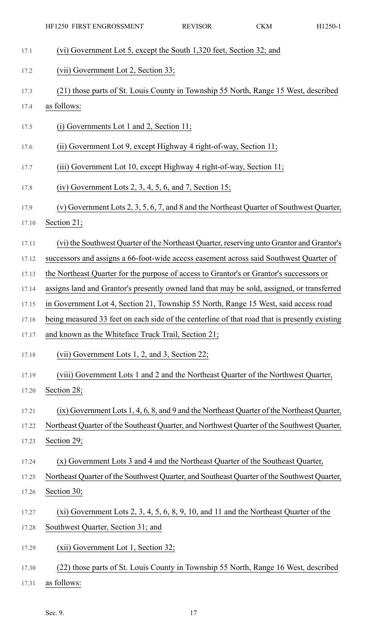|       | HF1250 FIRST ENGROSSMENT                                                                      | <b>REVISOR</b> | <b>CKM</b> | H1250-1 |
|-------|-----------------------------------------------------------------------------------------------|----------------|------------|---------|
| 17.1  | (vi) Government Lot 5, except the South 1,320 feet, Section 32; and                           |                |            |         |
| 17.2  | (vii) Government Lot 2, Section 33;                                                           |                |            |         |
| 17.3  | (21) those parts of St. Louis County in Township 55 North, Range 15 West, described           |                |            |         |
| 17.4  | as follows:                                                                                   |                |            |         |
| 17.5  | $(i)$ Governments Lot 1 and 2, Section 11;                                                    |                |            |         |
| 17.6  | (ii) Government Lot 9, except Highway 4 right-of-way, Section 11;                             |                |            |         |
| 17.7  | (iii) Government Lot 10, except Highway 4 right-of-way, Section 11;                           |                |            |         |
| 17.8  | $(iv)$ Government Lots 2, 3, 4, 5, 6, and 7, Section 15;                                      |                |            |         |
| 17.9  | (v) Government Lots 2, 3, 5, 6, 7, and 8 and the Northeast Quarter of Southwest Quarter,      |                |            |         |
| 17.10 | Section 21;                                                                                   |                |            |         |
| 17.11 | (vi) the Southwest Quarter of the Northeast Quarter, reserving unto Grantor and Grantor's     |                |            |         |
| 17.12 | successors and assigns a 66-foot-wide access easement across said Southwest Quarter of        |                |            |         |
| 17.13 | the Northeast Quarter for the purpose of access to Grantor's or Grantor's successors or       |                |            |         |
| 17.14 | assigns land and Grantor's presently owned land that may be sold, assigned, or transferred    |                |            |         |
| 17.15 | in Government Lot 4, Section 21, Township 55 North, Range 15 West, said access road           |                |            |         |
| 17.16 | being measured 33 feet on each side of the centerline of that road that is presently existing |                |            |         |
| 17.17 | and known as the Whiteface Truck Trail, Section 21;                                           |                |            |         |
| 17.18 | (vii) Government Lots 1, 2, and 3, Section 22;                                                |                |            |         |
| 17.19 | (viii) Government Lots 1 and 2 and the Northeast Quarter of the Northwest Quarter,            |                |            |         |
| 17.20 | Section 28;                                                                                   |                |            |         |
| 17.21 | (ix) Government Lots 1, 4, 6, 8, and 9 and the Northeast Quarter of the Northeast Quarter,    |                |            |         |
| 17.22 | Northeast Quarter of the Southeast Quarter, and Northwest Quarter of the Southwest Quarter,   |                |            |         |
| 17.23 | Section 29;                                                                                   |                |            |         |
| 17.24 | (x) Government Lots 3 and 4 and the Northeast Quarter of the Southeast Quarter,               |                |            |         |
| 17.25 | Northeast Quarter of the Southwest Quarter, and Southeast Quarter of the Southwest Quarter,   |                |            |         |
| 17.26 | Section 30;                                                                                   |                |            |         |
| 17.27 | $(xi)$ Government Lots 2, 3, 4, 5, 6, 8, 9, 10, and 11 and the Northeast Quarter of the       |                |            |         |
| 17.28 | Southwest Quarter, Section 31; and                                                            |                |            |         |
| 17.29 | (xii) Government Lot 1, Section 32;                                                           |                |            |         |
| 17.30 | (22) those parts of St. Louis County in Township 55 North, Range 16 West, described           |                |            |         |
| 17.31 | as follows:                                                                                   |                |            |         |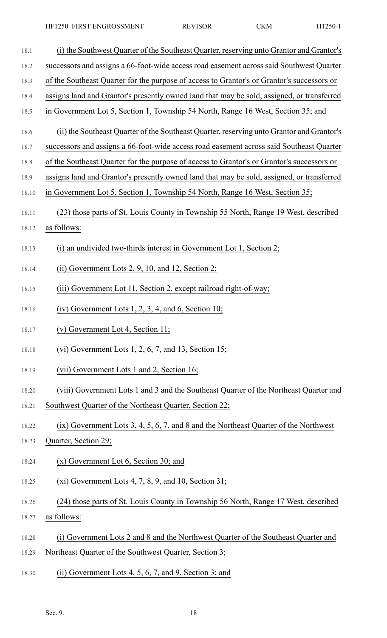18.1 (i) the Southwest Quarter of the Southeast Quarter, reserving unto Grantor and Grantor's 18.2 successors and assigns a 66-foot-wide access road easement across said Southwest Quarter 18.3 of the Southeast Quarter for the purpose of access to Grantor's or Grantor's successors or 18.4 assigns land and Grantor's presently owned land that may be sold, assigned, or transferred 18.5 in Government Lot 5, Section 1, Township 54 North, Range 16 West, Section 35; and 18.6 (ii) the Southeast Quarter of the Southeast Quarter, reserving unto Grantor and Grantor's 18.7 successors and assigns a 66-foot-wide access road easement across said Southeast Quarter 18.8 of the Southeast Quarter for the purpose of access to Grantor's or Grantor's successors or 18.9 assigns land and Grantor's presently owned land that may be sold, assigned, or transferred 18.10 in Government Lot 5, Section 1, Township 54 North, Range 16 West, Section 35; 18.11 (23) those parts of St. Louis County in Township 55 North, Range 19 West, described 18.12 as follows: 18.13 (i) an undivided two-thirds interest in Government Lot 1, Section 2; 18.14 (ii) Government Lots 2, 9, 10, and 12, Section 2; 18.15 (iii) Government Lot 11, Section 2, except railroad right-of-way; 18.16 (iv) Government Lots 1, 2, 3, 4, and 6, Section 10; 18.17 (v) Government Lot 4, Section 11; 18.18 (vi) Government Lots 1, 2, 6, 7, and 13, Section 15; 18.19 (vii) Government Lots 1 and 2, Section 16; 18.20 (viii) Government Lots 1 and 3 and the Southeast Quarter of the Northeast Quarter and 18.21 Southwest Quarter of the Northeast Quarter, Section 22; 18.22 (ix) Government Lots 3, 4, 5, 6, 7, and 8 and the Northeast Quarter of the Northwest 18.23 Quarter, Section 29; 18.24 (x) Government Lot 6, Section 30; and 18.25 (xi) Government Lots 4, 7, 8, 9, and 10, Section 31; 18.26 (24) those parts of St. Louis County in Township 56 North, Range 17 West, described 18.27 as follows: 18.28 (i) Government Lots 2 and 8 and the Northwest Quarter of the Southeast Quarter and 18.29 Northeast Quarter of the Southwest Quarter, Section 3; 18.30 (ii) Government Lots 4, 5, 6, 7, and 9, Section 3; and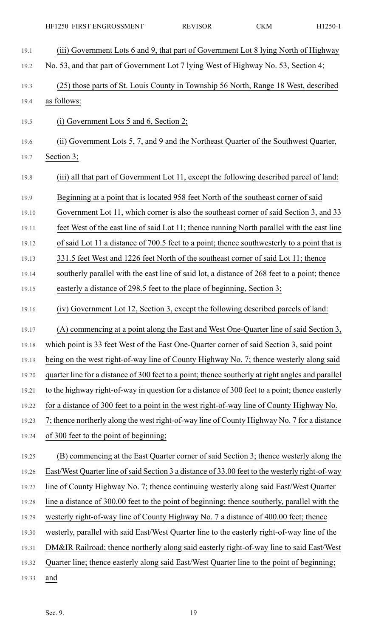| 19.1  | (iii) Government Lots 6 and 9, that part of Government Lot 8 lying North of Highway               |
|-------|---------------------------------------------------------------------------------------------------|
| 19.2  | No. 53, and that part of Government Lot 7 lying West of Highway No. 53, Section 4;                |
| 19.3  | (25) those parts of St. Louis County in Township 56 North, Range 18 West, described               |
| 19.4  | as follows:                                                                                       |
| 19.5  | (i) Government Lots 5 and 6, Section 2;                                                           |
| 19.6  | (ii) Government Lots 5, 7, and 9 and the Northeast Quarter of the Southwest Quarter,              |
| 19.7  | Section 3;                                                                                        |
| 19.8  | (iii) all that part of Government Lot 11, except the following described parcel of land:          |
| 19.9  | Beginning at a point that is located 958 feet North of the southeast corner of said               |
| 19.10 | Government Lot 11, which corner is also the southeast corner of said Section 3, and 33            |
| 19.11 | feet West of the east line of said Lot 11; thence running North parallel with the east line       |
| 19.12 | of said Lot 11 a distance of 700.5 feet to a point; thence southwesterly to a point that is       |
| 19.13 | 331.5 feet West and 1226 feet North of the southeast corner of said Lot 11; thence                |
| 19.14 | southerly parallel with the east line of said lot, a distance of 268 feet to a point; thence      |
| 19.15 | easterly a distance of 298.5 feet to the place of beginning, Section 3;                           |
| 19.16 | (iv) Government Lot 12, Section 3, except the following described parcels of land:                |
| 19.17 | (A) commencing at a point along the East and West One-Quarter line of said Section 3,             |
| 19.18 | which point is 33 feet West of the East One-Quarter corner of said Section 3, said point          |
| 19.19 | being on the west right-of-way line of County Highway No. 7; thence westerly along said           |
| 19.20 | quarter line for a distance of 300 feet to a point; thence southerly at right angles and parallel |
| 19.21 | to the highway right-of-way in question for a distance of 300 feet to a point; thence easterly    |
| 19.22 | for a distance of 300 feet to a point in the west right-of-way line of County Highway No.         |
| 19.23 | 7; thence northerly along the west right-of-way line of County Highway No. 7 for a distance       |
| 19.24 | of 300 feet to the point of beginning;                                                            |
| 19.25 | (B) commencing at the East Quarter corner of said Section 3; thence westerly along the            |
| 19.26 | East/West Quarter line of said Section 3 a distance of 33.00 feet to the westerly right-of-way    |
| 19.27 | line of County Highway No. 7; thence continuing westerly along said East/West Quarter             |
| 19.28 | line a distance of 300.00 feet to the point of beginning; thence southerly, parallel with the     |
| 19.29 | westerly right-of-way line of County Highway No. 7 a distance of 400.00 feet; thence              |
| 19.30 | westerly, parallel with said East/West Quarter line to the easterly right-of-way line of the      |
| 19.31 | DM&IR Railroad; thence northerly along said easterly right-of-way line to said East/West          |
| 19.32 | Quarter line; thence easterly along said East/West Quarter line to the point of beginning;        |
| 19.33 | and                                                                                               |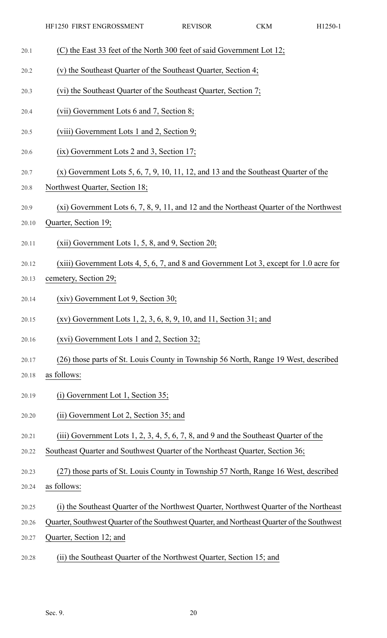- 20.1 (C) the East 33 feet of the North 300 feet of said Government Lot 12;
- 20.2 (v) the Southeast Quarter of the Southeast Quarter, Section 4;
- 20.3 (vi) the Southeast Quarter of the Southeast Quarter, Section 7;
- 20.4 (vii) Government Lots 6 and 7, Section 8;
- 20.5 (viii) Government Lots 1 and 2, Section 9;
- 20.6 (ix) Government Lots 2 and 3, Section 17;
- 20.7 (x) Government Lots 5, 6, 7, 9, 10, 11, 12, and 13 and the Southeast Quarter of the
- 20.8 Northwest Quarter, Section 18;
- 20.9 (xi) Government Lots 6, 7, 8, 9, 11, and 12 and the Northeast Quarter of the Northwest
- 20.10 Quarter, Section 19;
- 20.11 (xii) Government Lots 1, 5, 8, and 9, Section 20;
- 20.12 (xiii) Government Lots 4, 5, 6, 7, and 8 and Government Lot 3, except for 1.0 acre for
- 20.13 cemetery, Section 29;
- 20.14 (xiv) Government Lot 9, Section 30;
- 20.15 (xv) Government Lots 1, 2, 3, 6, 8, 9, 10, and 11, Section 31; and
- 20.16 (xvi) Government Lots 1 and 2, Section 32;
- 20.17 (26) those parts of St. Louis County in Township 56 North, Range 19 West, described
- 20.18 as follows:
- 20.19 (i) Government Lot 1, Section 35;
- 20.20 (ii) Government Lot 2, Section 35; and
- 20.21 (iii) Government Lots 1, 2, 3, 4, 5, 6, 7, 8, and 9 and the Southeast Quarter of the
- 20.22 Southeast Quarter and Southwest Quarter of the Northeast Quarter, Section 36;
- 20.23 (27) those parts of St. Louis County in Township 57 North, Range 16 West, described
- 20.24 as follows:
- 20.25 (i) the Southeast Quarter of the Northwest Quarter, Northwest Quarter of the Northeast
- 20.26 Quarter, Southwest Quarter of the Southwest Quarter, and Northeast Quarter of the Southwest
- 20.27 Quarter, Section 12; and
- 20.28 (ii) the Southeast Quarter of the Northwest Quarter, Section 15; and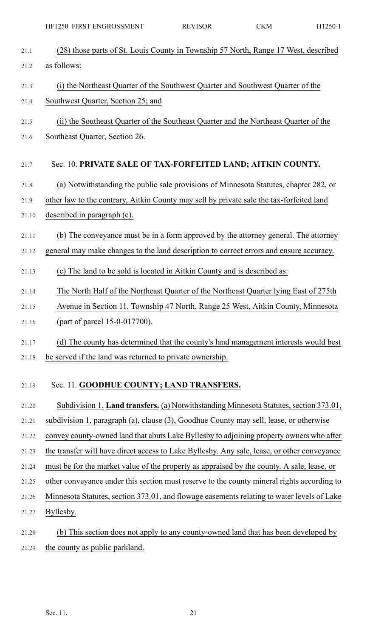| 21.1  | (28) those parts of St. Louis County in Township 57 North, Range 17 West, described         |
|-------|---------------------------------------------------------------------------------------------|
| 21.2  | as follows:                                                                                 |
| 21.3  | (i) the Northeast Quarter of the Southwest Quarter and Southwest Quarter of the             |
| 21.4  | Southwest Quarter, Section 25; and                                                          |
| 21.5  | (ii) the Southeast Quarter of the Southeast Quarter and the Northeast Quarter of the        |
| 21.6  | Southeast Quarter, Section 26.                                                              |
|       |                                                                                             |
| 21.7  | Sec. 10. PRIVATE SALE OF TAX-FORFEITED LAND; AITKIN COUNTY.                                 |
| 21.8  | (a) Notwithstanding the public sale provisions of Minnesota Statutes, chapter 282, or       |
| 21.9  | other law to the contrary, Aitkin County may sell by private sale the tax-forfeited land    |
| 21.10 | described in paragraph (c).                                                                 |
| 21.11 | (b) The conveyance must be in a form approved by the attorney general. The attorney         |
| 21.12 | general may make changes to the land description to correct errors and ensure accuracy.     |
| 21.13 | (c) The land to be sold is located in Aitkin County and is described as:                    |
| 21.14 | The North Half of the Northeast Quarter of the Northeast Quarter lying East of 275th        |
| 21.15 | Avenue in Section 11, Township 47 North, Range 25 West, Aitkin County, Minnesota            |
| 21.16 | (part of parcel 15-0-017700).                                                               |
| 21.17 | (d) The county has determined that the county's land management interests would best        |
| 21.18 | be served if the land was returned to private ownership.                                    |
| 21.19 | Sec. 11. GOODHUE COUNTY; LAND TRANSFERS.                                                    |
| 21.20 | Subdivision 1. Land transfers. (a) Notwithstanding Minnesota Statutes, section 373.01,      |
| 21.21 | subdivision 1, paragraph (a), clause (3), Goodhue County may sell, lease, or otherwise      |
| 21.22 | convey county-owned land that abuts Lake Byllesby to adjoining property owners who after    |
| 21.23 | the transfer will have direct access to Lake Byllesby. Any sale, lease, or other conveyance |
| 21.24 | must be for the market value of the property as appraised by the county. A sale, lease, or  |
| 21.25 | other conveyance under this section must reserve to the county mineral rights according to  |
| 21.26 | Minnesota Statutes, section 373.01, and flowage easements relating to water levels of Lake  |
| 21.27 | Byllesby.                                                                                   |
| 21.28 | (b) This section does not apply to any county-owned land that has been developed by         |
| 21.29 | the county as public parkland.                                                              |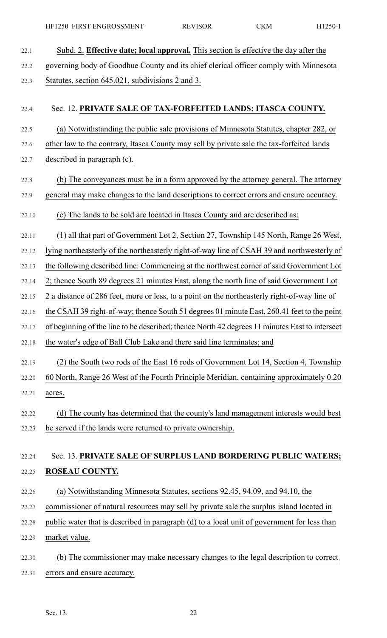| 22.1  | Subd. 2. Effective date; local approval. This section is effective the day after the           |
|-------|------------------------------------------------------------------------------------------------|
| 22.2  | governing body of Goodhue County and its chief clerical officer comply with Minnesota          |
| 22.3  | Statutes, section 645.021, subdivisions 2 and 3.                                               |
| 22.4  | Sec. 12. PRIVATE SALE OF TAX-FORFEITED LANDS; ITASCA COUNTY.                                   |
| 22.5  | (a) Notwithstanding the public sale provisions of Minnesota Statutes, chapter 282, or          |
| 22.6  | other law to the contrary, Itasca County may sell by private sale the tax-forfeited lands      |
| 22.7  | described in paragraph (c).                                                                    |
| 22.8  | (b) The conveyances must be in a form approved by the attorney general. The attorney           |
| 22.9  | general may make changes to the land descriptions to correct errors and ensure accuracy.       |
| 22.10 | (c) The lands to be sold are located in Itasca County and are described as:                    |
| 22.11 | (1) all that part of Government Lot 2, Section 27, Township 145 North, Range 26 West,          |
| 22.12 | lying northeasterly of the northeasterly right-of-way line of CSAH 39 and northwesterly of     |
| 22.13 | the following described line: Commencing at the northwest corner of said Government Lot        |
| 22.14 | 2; thence South 89 degrees 21 minutes East, along the north line of said Government Lot        |
| 22.15 | 2 a distance of 286 feet, more or less, to a point on the northeasterly right-of-way line of   |
| 22.16 | the CSAH 39 right-of-way; thence South 51 degrees 01 minute East, 260.41 feet to the point     |
| 22.17 | of beginning of the line to be described; thence North 42 degrees 11 minutes East to intersect |
| 22.18 | the water's edge of Ball Club Lake and there said line terminates; and                         |
| 22.19 | (2) the South two rods of the East 16 rods of Government Lot 14, Section 4, Township           |
| 22.20 | 60 North, Range 26 West of the Fourth Principle Meridian, containing approximately 0.20        |
| 22.21 | acres.                                                                                         |
| 22.22 | (d) The county has determined that the county's land management interests would best           |
| 22.23 | be served if the lands were returned to private ownership.                                     |
| 22.24 | Sec. 13. PRIVATE SALE OF SURPLUS LAND BORDERING PUBLIC WATERS;                                 |
| 22.25 | <b>ROSEAU COUNTY.</b>                                                                          |
|       | (a) Notwithstanding Minnesota Statutes, sections 92.45, 94.09, and 94.10, the                  |
| 22.26 |                                                                                                |
| 22.27 | commissioner of natural resources may sell by private sale the surplus island located in       |
| 22.28 | public water that is described in paragraph (d) to a local unit of government for less than    |
| 22.29 | market value.                                                                                  |
| 22.30 | (b) The commissioner may make necessary changes to the legal description to correct            |
| 22.31 | errors and ensure accuracy.                                                                    |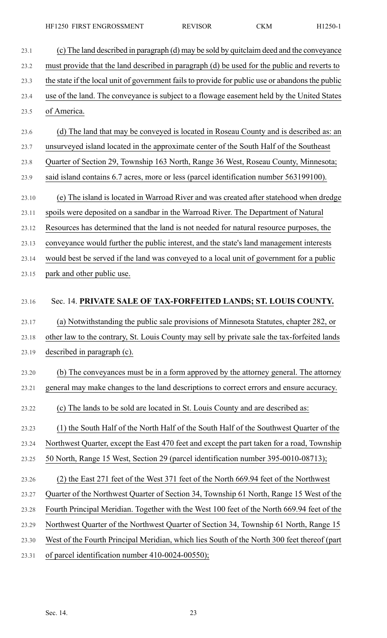23.1 (c) The land described in paragraph (d) may be sold by quitclaim deed and the conveyance 23.2 must provide that the land described in paragraph (d) be used for the public and reverts to 23.3 the state if the local unit of government fails to provide for public use or abandons the public 23.4 use of the land. The conveyance is subject to a flowage easement held by the United States 23.5 of America. 23.6 (d) The land that may be conveyed is located in Roseau County and is described as: an 23.7 unsurveyed island located in the approximate center of the South Half of the Southeast 23.8 Quarter of Section 29, Township 163 North, Range 36 West, Roseau County, Minnesota; 23.9 said island contains 6.7 acres, more or less (parcel identification number 563199100). 23.10 (e) The island is located in Warroad River and was created after statehood when dredge 23.11 spoils were deposited on a sandbar in the Warroad River. The Department of Natural 23.12 Resources has determined that the land is not needed for natural resource purposes, the 23.13 conveyance would further the public interest, and the state's land management interests 23.14 would best be served if the land was conveyed to a local unit of government for a public 23.15 park and other public use. 23.16 Sec. 14. **PRIVATE SALE OF TAX-FORFEITED LANDS; ST. LOUIS COUNTY.** 23.17 (a) Notwithstanding the public sale provisions of Minnesota Statutes, chapter 282, or 23.18 other law to the contrary, St. Louis County may sell by private sale the tax-forfeited lands 23.19 described in paragraph (c). 23.20 (b) The conveyances must be in a form approved by the attorney general. The attorney 23.21 general may make changes to the land descriptions to correct errors and ensure accuracy. 23.22 (c) The lands to be sold are located in St. Louis County and are described as: 23.23 (1) the South Half of the North Half of the South Half of the Southwest Quarter of the 23.24 Northwest Quarter, except the East 470 feet and except the part taken for a road, Township 23.25 50 North, Range 15 West, Section 29 (parcel identification number 395-0010-08713); 23.26 (2) the East 271 feet of the West 371 feet of the North 669.94 feet of the Northwest 23.27 Quarter of the Northwest Quarter of Section 34, Township 61 North, Range 15 West of the 23.28 Fourth Principal Meridian. Together with the West 100 feet of the North 669.94 feet of the 23.29 Northwest Quarter of the Northwest Quarter of Section 34, Township 61 North, Range 15 23.30 West of the Fourth Principal Meridian, which lies South of the North 300 feet thereof (part 23.31 of parcel identification number 410-0024-00550);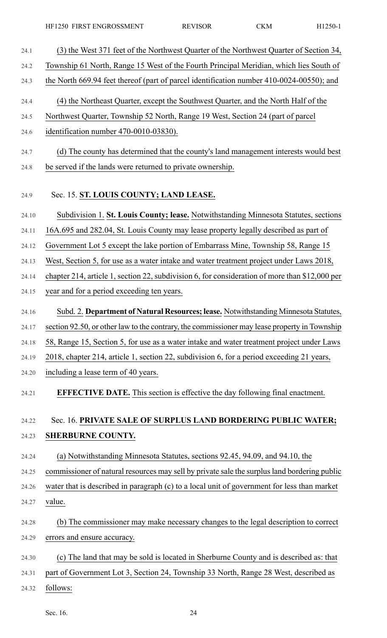24.1 (3) the West 371 feet of the Northwest Quarter of the Northwest Quarter of Section 34, 24.2 Township 61 North, Range 15 West of the Fourth Principal Meridian, which lies South of 24.3 the North 669.94 feet thereof (part of parcel identification number 410-0024-00550); and 24.4 (4) the Northeast Quarter, except the Southwest Quarter, and the North Half of the 24.5 Northwest Quarter, Township 52 North, Range 19 West, Section 24 (part of parcel 24.6 identification number 470-0010-03830). 24.7 (d) The county has determined that the county's land management interests would best 24.8 be served if the lands were returned to private ownership. 24.9 Sec. 15. **ST. LOUIS COUNTY; LAND LEASE.** 24.10 Subdivision 1. **St. Louis County; lease.** Notwithstanding Minnesota Statutes, sections 24.11 16A.695 and 282.04, St. Louis County may lease property legally described as part of 24.12 Government Lot 5 except the lake portion of Embarrass Mine, Township 58, Range 15 24.13 West, Section 5, for use as a water intake and water treatment project under Laws 2018, 24.14 chapter 214, article 1, section 22, subdivision 6, for consideration of more than \$12,000 per 24.15 year and for a period exceeding ten years. 24.16 Subd. 2. **Department of Natural Resources; lease.** Notwithstanding Minnesota Statutes, 24.17 section 92.50, or other law to the contrary, the commissioner may lease property in Township 24.18 58, Range 15, Section 5, for use as a water intake and water treatment project under Laws 24.19 2018, chapter 214, article 1, section 22, subdivision 6, for a period exceeding 21 years, 24.20 including a lease term of 40 years. 24.21 **EFFECTIVE DATE.** This section is effective the day following final enactment. 24.22 Sec. 16. **PRIVATE SALE OF SURPLUS LAND BORDERING PUBLIC WATER;** 24.23 **SHERBURNE COUNTY.** 24.24 (a) Notwithstanding Minnesota Statutes, sections 92.45, 94.09, and 94.10, the 24.25 commissioner of natural resources may sell by private sale the surplus land bordering public 24.26 water that is described in paragraph (c) to a local unit of government for less than market 24.27 value. 24.28 (b) The commissioner may make necessary changes to the legal description to correct 24.29 errors and ensure accuracy. 24.30 (c) The land that may be sold is located in Sherburne County and is described as: that 24.31 part of Government Lot 3, Section 24, Township 33 North, Range 28 West, described as 24.32 follows: